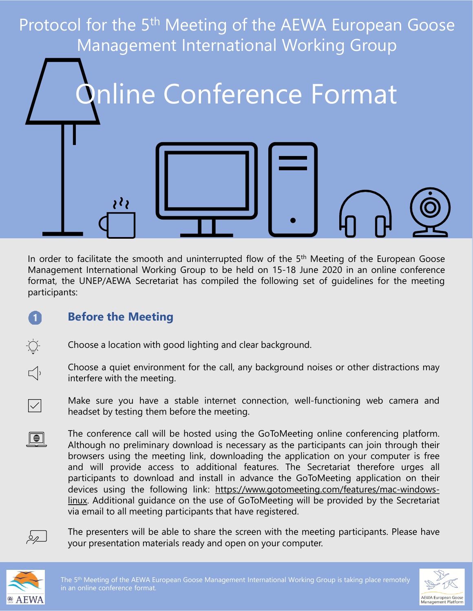

In order to facilitate the smooth and uninterrupted flow of the 5<sup>th</sup> Meeting of the European Goose Management International Working Group to be held on 15-18 June 2020 in an online conference format, the UNEP/AEWA Secretariat has compiled the following set of guidelines for the meeting participants:

## **Before the Meeting**

- Choose a location with good lighting and clear background.
- Choose a quiet environment for the call, any background noises or other distractions may interfere with the meeting.
- Make sure you have a stable internet connection, well-functioning web camera and headset by testing them before the meeting.
- The conference call will be hosted using the GoToMeeting online conferencing platform.  $\Box$ Although no preliminary download is necessary as the participants can join through their browsers using the meeting link, downloading the application on your computer is free and will provide access to additional features. The Secretariat therefore urges all participants to download and install in advance the GoToMeeting application on their devices using the following link: [https://www.gotomeeting.com/features/mac-windows](https://www.gotomeeting.com/features/mac-windows-linux)linux. Additional guidance on the use of GoToMeeting will be provided by the Secretariat via email to all meeting participants that have registered.



 $\left( 1\right)$ 

 $\frac{1}{2}\sum_{i=1}^{n} \frac{1}{i} \sum_{i=1}^{n} \frac{1}{i} \sum_{i=1}^{n} \frac{1}{i} \sum_{i=1}^{n} \frac{1}{i} \sum_{i=1}^{n} \frac{1}{i} \sum_{i=1}^{n} \frac{1}{i} \sum_{i=1}^{n} \frac{1}{i} \sum_{i=1}^{n} \frac{1}{i} \sum_{i=1}^{n} \frac{1}{i} \sum_{i=1}^{n} \frac{1}{i} \sum_{i=1}^{n} \frac{1}{i} \sum_{i=1}^{n} \frac{1}{i} \sum_{i=1}^{n}$ 

 $\Box$ 

 $|\!\!\sqrt{ }|$ 

The presenters will be able to share the screen with the meeting participants. Please have your presentation materials ready and open on your computer.